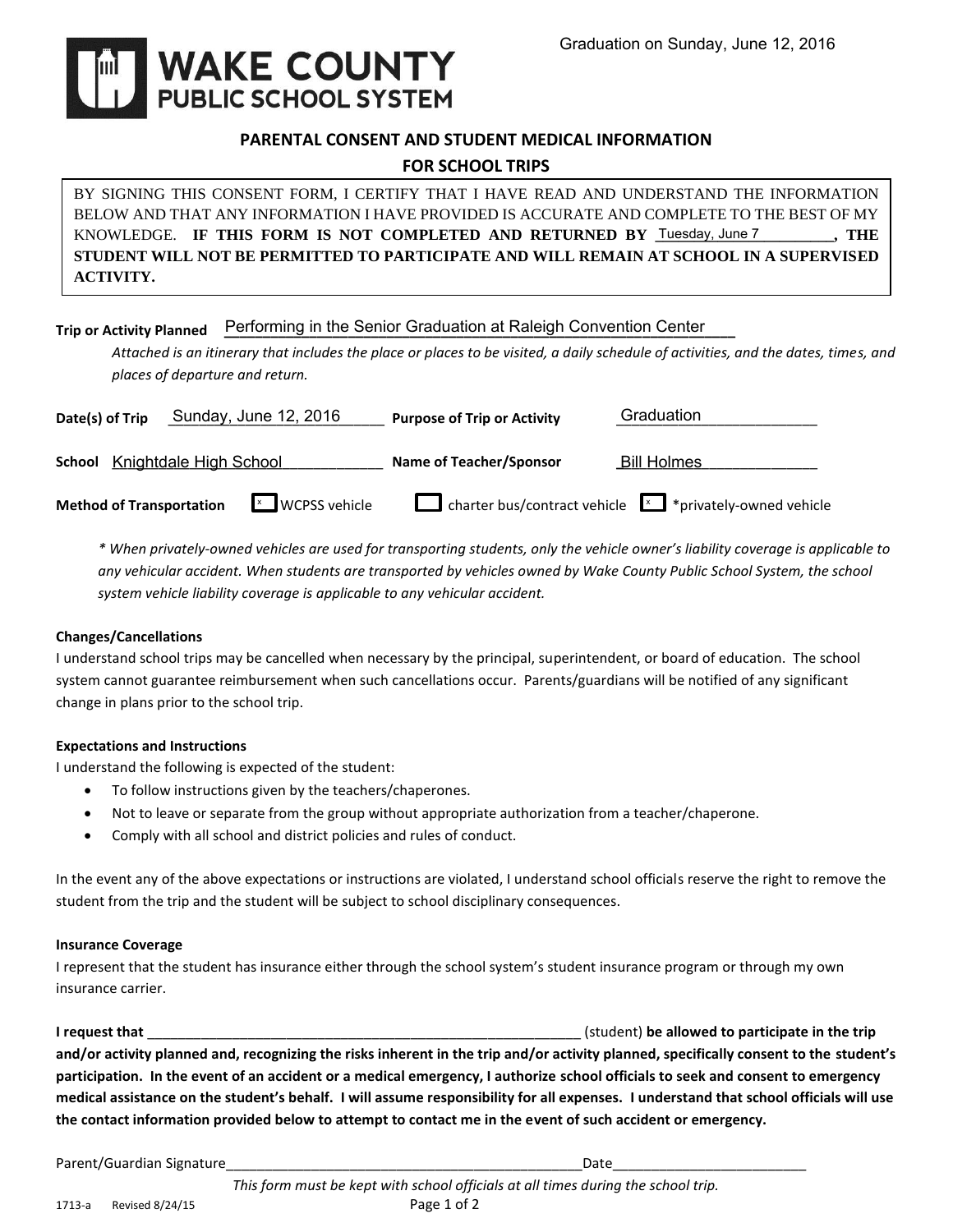

### **PARENTAL CONSENT AND STUDENT MEDICAL INFORMATION**

**FOR SCHOOL TRIPS** 

BY SIGNING THIS CONSENT FORM, I CERTIFY THAT I HAVE READ AND UNDERSTAND THE INFORMATION BELOW AND THAT ANY INFORMATION I HAVE PROVIDED IS ACCURATE AND COMPLETE TO THE BEST OF MY KNOWLEDGE. IF THIS FORM IS NOT COMPLETED AND RETURNED BY Tuesday, June 7 \_\_\_\_\_\_\_\_, THE **STUDENT WILL NOT BE PERMITTED TO PARTICIPATE AND WILL REMAIN AT SCHOOL IN A SUPERVISED ACTIVITY.**

| Trip or Activity Planned Performing in the Senior Graduation at Raleigh Convention Center |
|-------------------------------------------------------------------------------------------|
|                                                                                           |

*Attached is an itinerary that includes the place or places to be visited, a daily schedule of activities, and the dates, times, and places of departure and return.* 

| Date(s) of Trip                 | Sunday, June 12, 2016         | <b>Purpose of Trip or Activity</b> | Graduation                                                        |
|---------------------------------|-------------------------------|------------------------------------|-------------------------------------------------------------------|
|                                 | School Knightdale High School | Name of Teacher/Sponsor            | <b>Bill Holmes</b>                                                |
| <b>Method of Transportation</b> | $x$ WCPSS vehicle             |                                    | charter bus/contract vehicle $\sqrt{x}$ * privately-owned vehicle |

*\* When privately-owned vehicles are used for transporting students, only the vehicle owner's liability coverage is applicable to any vehicular accident. When students are transported by vehicles owned by Wake County Public School System, the school system vehicle liability coverage is applicable to any vehicular accident.* 

#### **Changes/Cancellations**

I understand school trips may be cancelled when necessary by the principal, superintendent, or board of education. The school system cannot guarantee reimbursement when such cancellations occur. Parents/guardians will be notified of any significant change in plans prior to the school trip.

#### **Expectations and Instructions**

I understand the following is expected of the student:

- To follow instructions given by the teachers/chaperones.
- Not to leave or separate from the group without appropriate authorization from a teacher/chaperone.
- Comply with all school and district policies and rules of conduct.

In the event any of the above expectations or instructions are violated, I understand school officials reserve the right to remove the student from the trip and the student will be subject to school disciplinary consequences.

#### **Insurance Coverage**

I represent that the student has insurance either through the school system's student insurance program or through my own insurance carrier.

**I request that** \_\_\_\_\_\_\_\_\_\_\_\_\_\_\_\_\_\_\_\_\_\_\_\_\_\_\_\_\_\_\_\_\_\_\_\_\_\_\_\_\_\_\_\_\_\_\_\_\_\_\_\_\_\_\_\_ (student) **be allowed to participate in the trip and/or activity planned and, recognizing the risks inherent in the trip and/or activity planned, specifically consent to the student's participation. In the event of an accident or a medical emergency, I authorize school officials to seek and consent to emergency medical assistance on the student's behalf. I will assume responsibility for all expenses. I understand that school officials will use the contact information provided below to attempt to contact me in the event of such accident or emergency.**

Parent/Guardian Signature et al. 2011 and 2012 and 2012 and 2012 and 2012 and 2013 and 2012 and 2013 and 2013